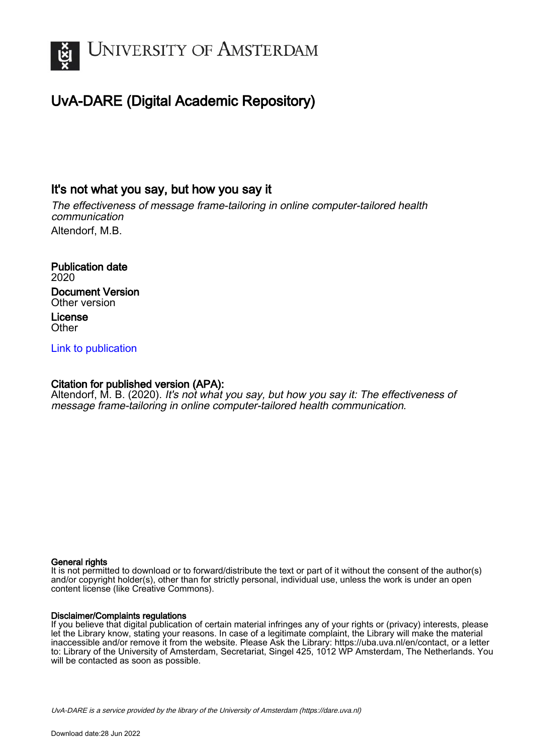

# UvA-DARE (Digital Academic Repository)

## It's not what you say, but how you say it

The effectiveness of message frame-tailoring in online computer-tailored health communication Altendorf, M.B.

Publication date 2020 Document Version Other version License **Other** 

## [Link to publication](https://dare.uva.nl/personal/pure/en/publications/its-not-what-you-say-but-how-you-say-it(06b394d5-e6d9-467c-aa69-6140870909d7).html)

## Citation for published version (APA):

Altendorf, M. B. (2020). It's not what you say, but how you say it: The effectiveness of message frame-tailoring in online computer-tailored health communication.

#### General rights

It is not permitted to download or to forward/distribute the text or part of it without the consent of the author(s) and/or copyright holder(s), other than for strictly personal, individual use, unless the work is under an open content license (like Creative Commons).

#### Disclaimer/Complaints regulations

If you believe that digital publication of certain material infringes any of your rights or (privacy) interests, please let the Library know, stating your reasons. In case of a legitimate complaint, the Library will make the material inaccessible and/or remove it from the website. Please Ask the Library: https://uba.uva.nl/en/contact, or a letter to: Library of the University of Amsterdam, Secretariat, Singel 425, 1012 WP Amsterdam, The Netherlands. You will be contacted as soon as possible.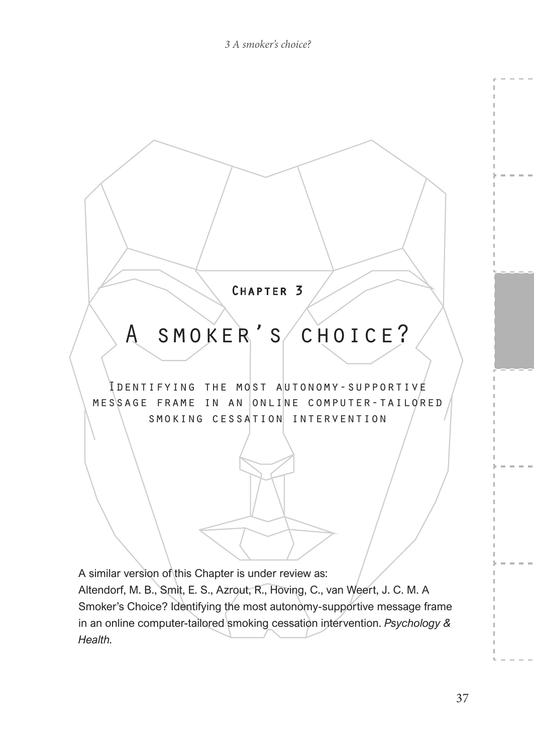

Altendorf, M. B., Smit, E. S., Azrout, R., Hoving, C., van Weert, J. C. M. A Smoker's Choice? Identifying the most autonomy-supportive message frame in an online computer-tailored smoking cessation intervention. *Psychology & Health.*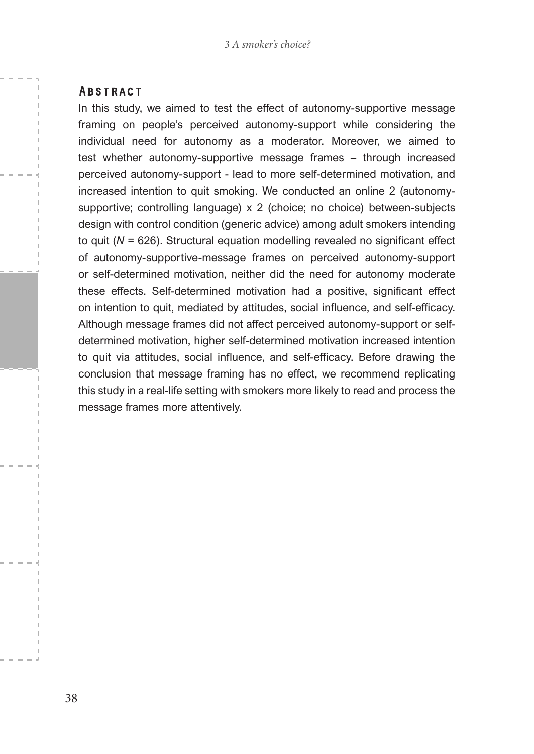#### **ABSTRACT**

In this study, we aimed to test the effect of autonomy-supportive message framing on people's perceived autonomy-support while considering the individual need for autonomy as a moderator. Moreover, we aimed to test whether autonomy-supportive message frames – through increased perceived autonomy-support - lead to more self-determined motivation, and increased intention to quit smoking. We conducted an online 2 (autonomysupportive; controlling language) x 2 (choice; no choice) between-subjects design with control condition (generic advice) among adult smokers intending to quit (*N* = 626). Structural equation modelling revealed no significant effect of autonomy-supportive-message frames on perceived autonomy-support or self-determined motivation, neither did the need for autonomy moderate these effects. Self-determined motivation had a positive, significant effect on intention to quit, mediated by attitudes, social influence, and self-efficacy. Although message frames did not affect perceived autonomy-support or selfdetermined motivation, higher self-determined motivation increased intention to quit via attitudes, social influence, and self-efficacy. Before drawing the conclusion that message framing has no effect, we recommend replicating this study in a real-life setting with smokers more likely to read and process the message frames more attentively.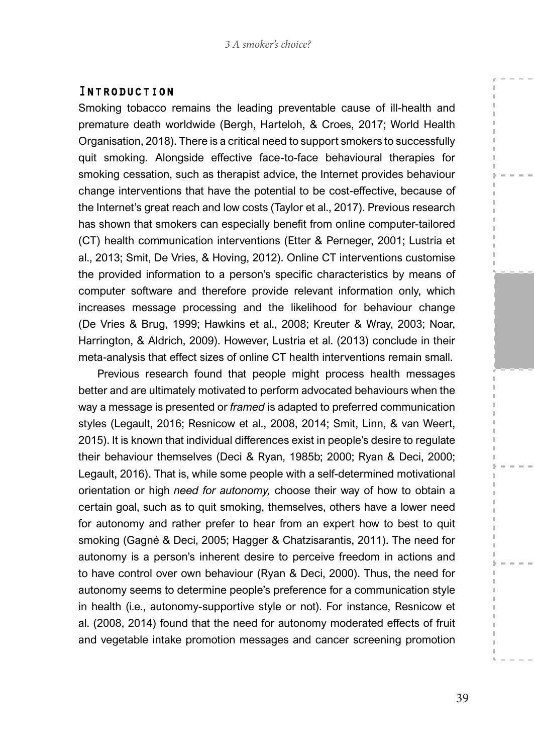#### Introduction

Smoking tobacco remains the leading preventable cause of ill-health and premature death worldwide (Bergh, Harteloh, & Croes, 2017; World Health Organisation, 2018). There is a critical need to support smokers to successfully quit smoking. Alongside effective face-to-face behavioural therapies for smoking cessation, such as therapist advice, the Internet provides behaviour change interventions that have the potential to be cost-effective, because of the Internet's great reach and low costs (Taylor et al., 2017). Previous research has shown that smokers can especially benefit from online computer-tailored (CT) health communication interventions (Etter & Perneger, 2001; Lustria et al., 2013; Smit, De Vries, & Hoving, 2012). Online CT interventions customise the provided information to a person's specific characteristics by means of computer software and therefore provide relevant information only, which increases message processing and the likelihood for behaviour change (De Vries & Brug, 1999; Hawkins et al., 2008; Kreuter & Wray, 2003; Noar, Harrington, & Aldrich, 2009). However, Lustria et al. (2013) conclude in their meta-analysis that effect sizes of online CT health interventions remain small.

Previous research found that people might process health messages better and are ultimately motivated to perform advocated behaviours when the way a message is presented or *framed* is adapted to preferred communication styles (Legault, 2016; Resnicow et al., 2008, 2014; Smit, Linn, & van Weert, 2015). It is known that individual differences exist in people's desire to regulate their behaviour themselves (Deci & Ryan, 1985b; 2000; Ryan & Deci, 2000; Legault, 2016). That is, while some people with a self-determined motivational orientation or high *need for autonomy,* choose their way of how to obtain a certain goal, such as to quit smoking, themselves, others have a lower need for autonomy and rather prefer to hear from an expert how to best to quit smoking (Gagné & Deci, 2005; Hagger & Chatzisarantis, 2011). The need for autonomy is a person's inherent desire to perceive freedom in actions and to have control over own behaviour (Ryan & Deci, 2000). Thus, the need for autonomy seems to determine people's preference for a communication style in health (i.e., autonomy-supportive style or not). For instance, Resnicow et al. (2008, 2014) found that the need for autonomy moderated effects of fruit and vegetable intake promotion messages and cancer screening promotion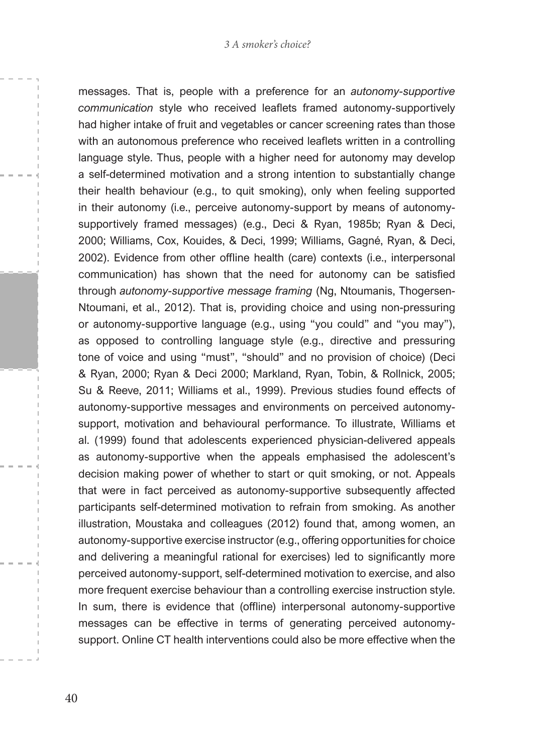#### *3 A smoker's choice?*

messages. That is, people with a preference for an *autonomy-supportive communication* style who received leaflets framed autonomy-supportively had higher intake of fruit and vegetables or cancer screening rates than those with an autonomous preference who received leaflets written in a controlling language style. Thus, people with a higher need for autonomy may develop a self-determined motivation and a strong intention to substantially change their health behaviour (e.g., to quit smoking), only when feeling supported in their autonomy (i.e., perceive autonomy-support by means of autonomysupportively framed messages) (e.g., Deci & Ryan, 1985b; Ryan & Deci, 2000; Williams, Cox, Kouides, & Deci, 1999; Williams, Gagné, Ryan, & Deci, 2002). Evidence from other offline health (care) contexts (i.e., interpersonal communication) has shown that the need for autonomy can be satisfied through *autonomy-supportive message framing* (Ng, Ntoumanis, Thogersen-Ntoumani, et al., 2012). That is, providing choice and using non-pressuring or autonomy-supportive language (e.g., using "you could" and "you may"), as opposed to controlling language style (e.g., directive and pressuring tone of voice and using "must", "should" and no provision of choice) (Deci & Ryan, 2000; Ryan & Deci 2000; Markland, Ryan, Tobin, & Rollnick, 2005; Su & Reeve, 2011; Williams et al., 1999). Previous studies found effects of autonomy-supportive messages and environments on perceived autonomysupport, motivation and behavioural performance. To illustrate, Williams et al. (1999) found that adolescents experienced physician-delivered appeals as autonomy-supportive when the appeals emphasised the adolescent's decision making power of whether to start or quit smoking, or not. Appeals that were in fact perceived as autonomy-supportive subsequently affected participants self-determined motivation to refrain from smoking. As another illustration, Moustaka and colleagues (2012) found that, among women, an autonomy-supportive exercise instructor (e.g., offering opportunities for choice and delivering a meaningful rational for exercises) led to significantly more perceived autonomy-support, self-determined motivation to exercise, and also more frequent exercise behaviour than a controlling exercise instruction style. In sum, there is evidence that (offline) interpersonal autonomy-supportive messages can be effective in terms of generating perceived autonomysupport. Online CT health interventions could also be more effective when the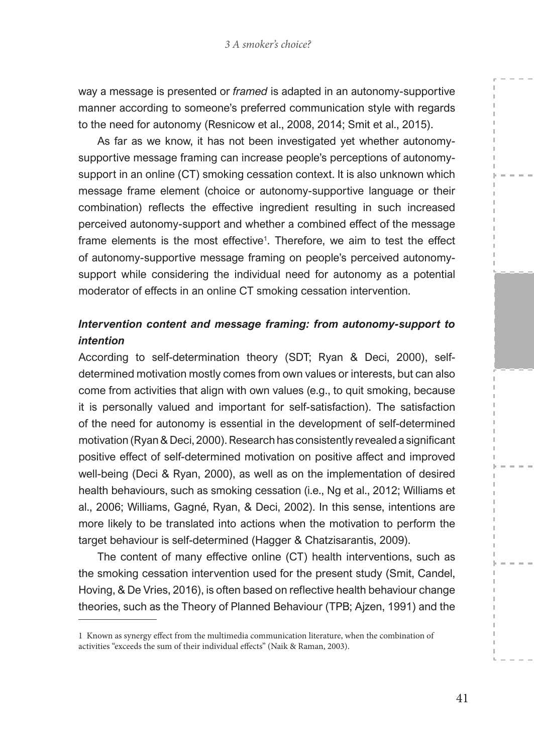way a message is presented or *framed* is adapted in an autonomy-supportive manner according to someone's preferred communication style with regards to the need for autonomy (Resnicow et al., 2008, 2014; Smit et al., 2015).

As far as we know, it has not been investigated yet whether autonomysupportive message framing can increase people's perceptions of autonomysupport in an online (CT) smoking cessation context. It is also unknown which message frame element (choice or autonomy-supportive language or their combination) reflects the effective ingredient resulting in such increased perceived autonomy-support and whether a combined effect of the message frame elements is the most effective<sup>1</sup>. Therefore, we aim to test the effect of autonomy-supportive message framing on people's perceived autonomysupport while considering the individual need for autonomy as a potential moderator of effects in an online CT smoking cessation intervention.

## *Intervention content and message framing: from autonomy-support to intention*

According to self-determination theory (SDT; Ryan & Deci, 2000), selfdetermined motivation mostly comes from own values or interests, but can also come from activities that align with own values (e.g., to quit smoking, because it is personally valued and important for self-satisfaction). The satisfaction of the need for autonomy is essential in the development of self-determined motivation (Ryan & Deci, 2000). Research has consistently revealed a significant positive effect of self-determined motivation on positive affect and improved well-being (Deci & Ryan, 2000), as well as on the implementation of desired health behaviours, such as smoking cessation (i.e., Ng et al., 2012; Williams et al., 2006; Williams, Gagné, Ryan, & Deci, 2002). In this sense, intentions are more likely to be translated into actions when the motivation to perform the target behaviour is self-determined (Hagger & Chatzisarantis, 2009).

The content of many effective online (CT) health interventions, such as the smoking cessation intervention used for the present study (Smit, Candel, Hoving, & De Vries, 2016), is often based on reflective health behaviour change theories, such as the Theory of Planned Behaviour (TPB; Ajzen, 1991) and the

<sup>1</sup> Known as synergy effect from the multimedia communication literature, when the combination of activities "exceeds the sum of their individual effects" (Naik & Raman, 2003).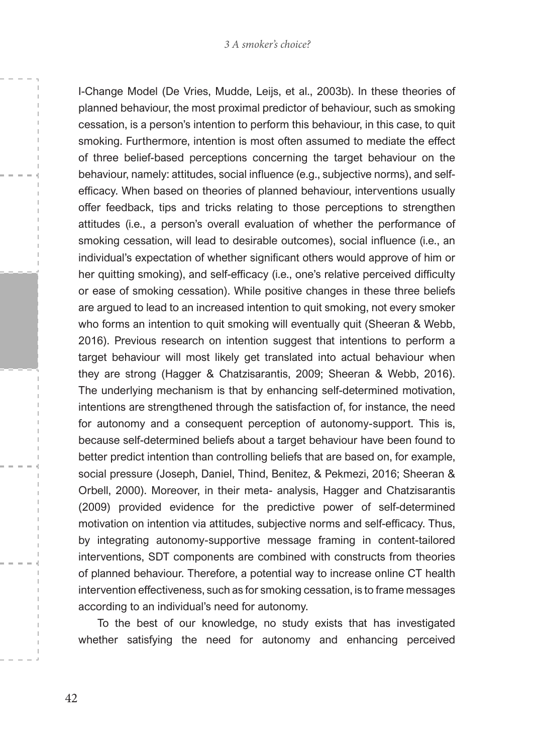I-Change Model (De Vries, Mudde, Leijs, et al., 2003b). In these theories of planned behaviour, the most proximal predictor of behaviour, such as smoking cessation, is a person's intention to perform this behaviour, in this case, to quit smoking. Furthermore, intention is most often assumed to mediate the effect of three belief-based perceptions concerning the target behaviour on the behaviour, namely: attitudes, social influence (e.g., subjective norms), and selfefficacy. When based on theories of planned behaviour, interventions usually offer feedback, tips and tricks relating to those perceptions to strengthen attitudes (i.e., a person's overall evaluation of whether the performance of smoking cessation, will lead to desirable outcomes), social influence (i.e., an individual's expectation of whether significant others would approve of him or her quitting smoking), and self-efficacy (i.e., one's relative perceived difficulty or ease of smoking cessation). While positive changes in these three beliefs are argued to lead to an increased intention to quit smoking, not every smoker who forms an intention to quit smoking will eventually quit (Sheeran & Webb, 2016). Previous research on intention suggest that intentions to perform a target behaviour will most likely get translated into actual behaviour when they are strong (Hagger & Chatzisarantis, 2009; Sheeran & Webb, 2016). The underlying mechanism is that by enhancing self-determined motivation, intentions are strengthened through the satisfaction of, for instance, the need for autonomy and a consequent perception of autonomy-support. This is, because self-determined beliefs about a target behaviour have been found to better predict intention than controlling beliefs that are based on, for example, social pressure (Joseph, Daniel, Thind, Benitez, & Pekmezi, 2016; Sheeran & Orbell, 2000). Moreover, in their meta- analysis, Hagger and Chatzisarantis (2009) provided evidence for the predictive power of self-determined motivation on intention via attitudes, subjective norms and self-efficacy. Thus, by integrating autonomy-supportive message framing in content-tailored interventions, SDT components are combined with constructs from theories of planned behaviour. Therefore, a potential way to increase online CT health intervention effectiveness, such as for smoking cessation, is to frame messages according to an individual's need for autonomy.

To the best of our knowledge, no study exists that has investigated whether satisfying the need for autonomy and enhancing perceived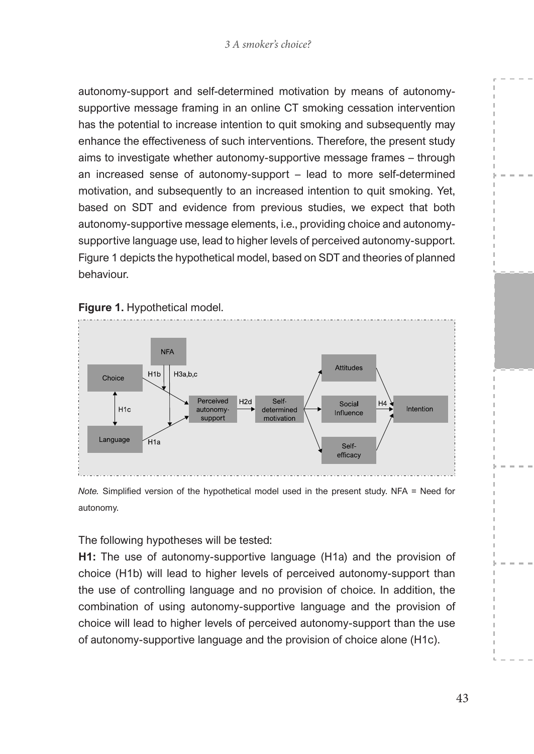autonomy-support and self-determined motivation by means of autonomysupportive message framing in an online CT smoking cessation intervention has the potential to increase intention to quit smoking and subsequently may enhance the effectiveness of such interventions. Therefore, the present study aims to investigate whether autonomy-supportive message frames – through an increased sense of autonomy-support – lead to more self-determined motivation, and subsequently to an increased intention to quit smoking. Yet, based on SDT and evidence from previous studies, we expect that both autonomy-supportive message elements, i.e., providing choice and autonomysupportive language use, lead to higher levels of perceived autonomy-support. Figure 1 depicts the hypothetical model, based on SDT and theories of planned behaviour.



*Note.* Simplified version of the hypothetical model used in the present study. NFA = Need for

The following hypotheses will be tested:

autonomy.

**H1:** The use of autonomy-supportive language (H1a) and the provision of choice (H1b) will lead to higher levels of perceived autonomy-support than the use of controlling language and no provision of choice. In addition, the combination of using autonomy-supportive language and the provision of choice will lead to higher levels of perceived autonomy-support than the use of autonomy-supportive language and the provision of choice alone (H1c).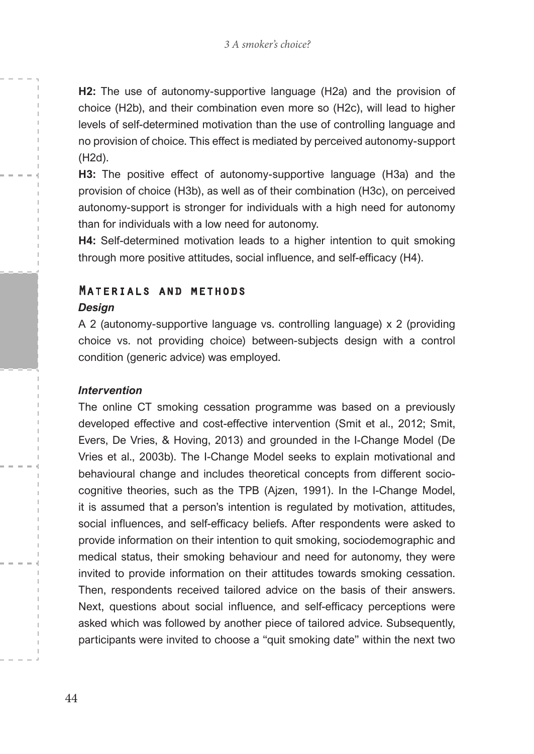**H2:** The use of autonomy-supportive language (H2a) and the provision of choice (H2b), and their combination even more so (H2c), will lead to higher levels of self-determined motivation than the use of controlling language and no provision of choice. This effect is mediated by perceived autonomy-support (H2d).

**H3:** The positive effect of autonomy-supportive language (H3a) and the provision of choice (H3b), as well as of their combination (H3c), on perceived autonomy-support is stronger for individuals with a high need for autonomy than for individuals with a low need for autonomy.

**H4:** Self-determined motivation leads to a higher intention to quit smoking through more positive attitudes, social influence, and self-efficacy (H4).

## Materials and methods

#### *Design*

A 2 (autonomy-supportive language vs. controlling language) x 2 (providing choice vs. not providing choice) between-subjects design with a control condition (generic advice) was employed.

#### *Intervention*

The online CT smoking cessation programme was based on a previously developed effective and cost-effective intervention (Smit et al., 2012; Smit, Evers, De Vries, & Hoving, 2013) and grounded in the I-Change Model (De Vries et al., 2003b). The I-Change Model seeks to explain motivational and behavioural change and includes theoretical concepts from different sociocognitive theories, such as the TPB (Ajzen, 1991). In the I-Change Model, it is assumed that a person's intention is regulated by motivation, attitudes, social influences, and self-efficacy beliefs. After respondents were asked to provide information on their intention to quit smoking, sociodemographic and medical status, their smoking behaviour and need for autonomy, they were invited to provide information on their attitudes towards smoking cessation. Then, respondents received tailored advice on the basis of their answers. Next, questions about social influence, and self-efficacy perceptions were asked which was followed by another piece of tailored advice. Subsequently, participants were invited to choose a "quit smoking date" within the next two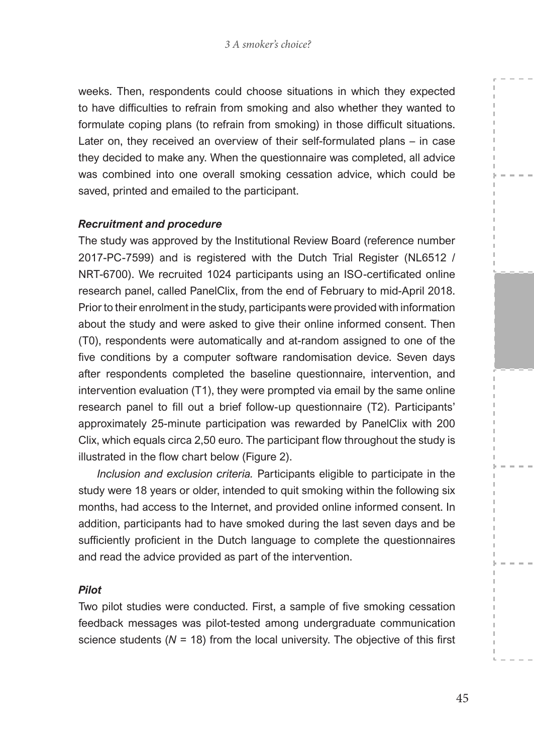weeks. Then, respondents could choose situations in which they expected to have difficulties to refrain from smoking and also whether they wanted to formulate coping plans (to refrain from smoking) in those difficult situations. Later on, they received an overview of their self-formulated plans – in case they decided to make any. When the questionnaire was completed, all advice was combined into one overall smoking cessation advice, which could be saved, printed and emailed to the participant.

#### *Recruitment and procedure*

The study was approved by the Institutional Review Board (reference number 2017-PC-7599) and is registered with the Dutch Trial Register (NL6512 / NRT-6700). We recruited 1024 participants using an ISO-certificated online research panel, called PanelClix, from the end of February to mid-April 2018. Prior to their enrolment in the study, participants were provided with information about the study and were asked to give their online informed consent. Then (T0), respondents were automatically and at-random assigned to one of the five conditions by a computer software randomisation device. Seven days after respondents completed the baseline questionnaire, intervention, and intervention evaluation (T1), they were prompted via email by the same online research panel to fill out a brief follow-up questionnaire (T2). Participants' approximately 25-minute participation was rewarded by PanelClix with 200 Clix, which equals circa 2,50 euro. The participant flow throughout the study is illustrated in the flow chart below (Figure 2).

*Inclusion and exclusion criteria.* Participants eligible to participate in the study were 18 years or older, intended to quit smoking within the following six months, had access to the Internet, and provided online informed consent. In addition, participants had to have smoked during the last seven days and be sufficiently proficient in the Dutch language to complete the questionnaires and read the advice provided as part of the intervention.

#### *Pilot*

Two pilot studies were conducted. First, a sample of five smoking cessation feedback messages was pilot-tested among undergraduate communication science students ( $N = 18$ ) from the local university. The objective of this first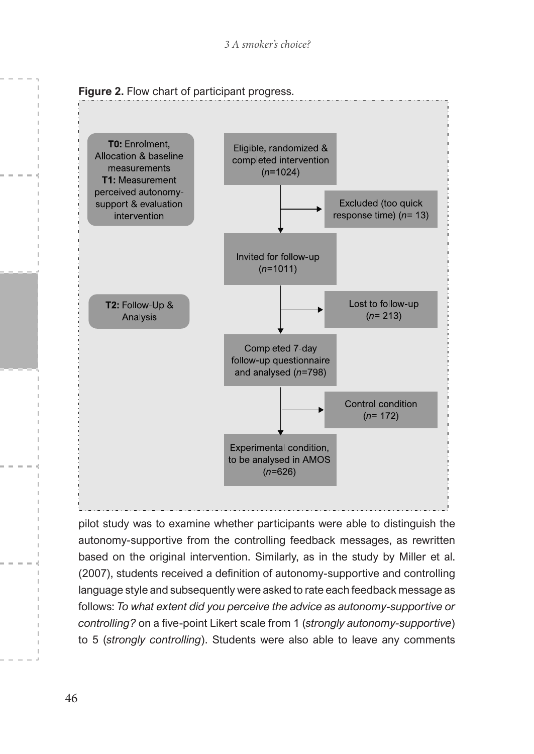

pilot study was to examine whether participants were able to distinguish the autonomy-supportive from the controlling feedback messages, as rewritten based on the original intervention. Similarly, as in the study by Miller et al. (2007), students received a definition of autonomy-supportive and controlling language style and subsequently were asked to rate each feedback message as follows: *To what extent did you perceive the advice as autonomy-supportive or controlling?* on a five-point Likert scale from 1 (*strongly autonomy-supportive*) to 5 (*strongly controlling*). Students were also able to leave any comments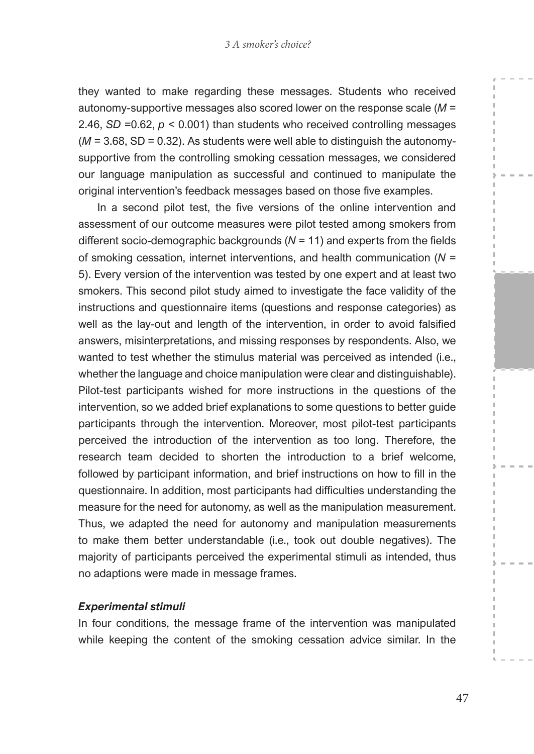they wanted to make regarding these messages. Students who received autonomy-supportive messages also scored lower on the response scale (*M* = 2.46, *SD* =0.62, *p* < 0.001) than students who received controlling messages  $(M = 3.68, SD = 0.32)$ . As students were well able to distinguish the autonomysupportive from the controlling smoking cessation messages, we considered our language manipulation as successful and continued to manipulate the original intervention's feedback messages based on those five examples.

In a second pilot test, the five versions of the online intervention and assessment of our outcome measures were pilot tested among smokers from different socio-demographic backgrounds (*N* = 11) and experts from the fields of smoking cessation, internet interventions, and health communication (*N* = 5). Every version of the intervention was tested by one expert and at least two smokers. This second pilot study aimed to investigate the face validity of the instructions and questionnaire items (questions and response categories) as well as the lay-out and length of the intervention, in order to avoid falsified answers, misinterpretations, and missing responses by respondents. Also, we wanted to test whether the stimulus material was perceived as intended (i.e., whether the language and choice manipulation were clear and distinguishable). Pilot-test participants wished for more instructions in the questions of the intervention, so we added brief explanations to some questions to better guide participants through the intervention. Moreover, most pilot-test participants perceived the introduction of the intervention as too long. Therefore, the research team decided to shorten the introduction to a brief welcome, followed by participant information, and brief instructions on how to fill in the questionnaire. In addition, most participants had difficulties understanding the measure for the need for autonomy, as well as the manipulation measurement. Thus, we adapted the need for autonomy and manipulation measurements to make them better understandable (i.e., took out double negatives). The majority of participants perceived the experimental stimuli as intended, thus no adaptions were made in message frames.

#### *Experimental stimuli*

In four conditions, the message frame of the intervention was manipulated while keeping the content of the smoking cessation advice similar. In the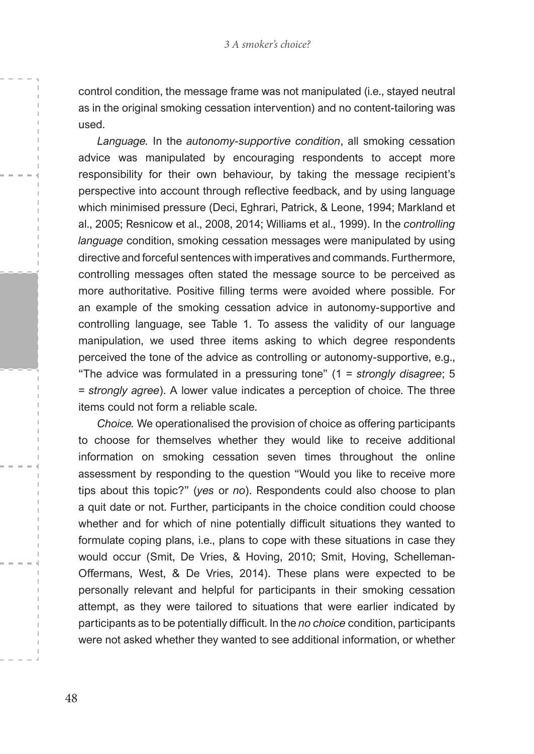control condition, the message frame was not manipulated (i.e., stayed neutral as in the original smoking cessation intervention) and no content-tailoring was used.

*Language.* In the *autonomy-supportive condition*, all smoking cessation advice was manipulated by encouraging respondents to accept more responsibility for their own behaviour, by taking the message recipient's perspective into account through reflective feedback, and by using language which minimised pressure (Deci, Eghrari, Patrick, & Leone, 1994; Markland et al., 2005; Resnicow et al., 2008, 2014; Williams et al., 1999). In the *controlling language* condition, smoking cessation messages were manipulated by using directive and forceful sentences with imperatives and commands. Furthermore, controlling messages often stated the message source to be perceived as more authoritative. Positive filling terms were avoided where possible. For an example of the smoking cessation advice in autonomy-supportive and controlling language, see Table 1. To assess the validity of our language manipulation, we used three items asking to which degree respondents perceived the tone of the advice as controlling or autonomy-supportive, e.g., "The advice was formulated in a pressuring tone" (1 = *strongly disagree*; 5 = *strongly agree*). A lower value indicates a perception of choice. The three items could not form a reliable scale.

*Choice.* We operationalised the provision of choice as offering participants to choose for themselves whether they would like to receive additional information on smoking cessation seven times throughout the online assessment by responding to the question "Would you like to receive more tips about this topic?" (*yes* or *no*). Respondents could also choose to plan a quit date or not. Further, participants in the choice condition could choose whether and for which of nine potentially difficult situations they wanted to formulate coping plans, i.e., plans to cope with these situations in case they would occur (Smit, De Vries, & Hoving, 2010; Smit, Hoving, Schelleman-Offermans, West, & De Vries, 2014). These plans were expected to be personally relevant and helpful for participants in their smoking cessation attempt, as they were tailored to situations that were earlier indicated by participants as to be potentially difficult. In the *no choice* condition, participants were not asked whether they wanted to see additional information, or whether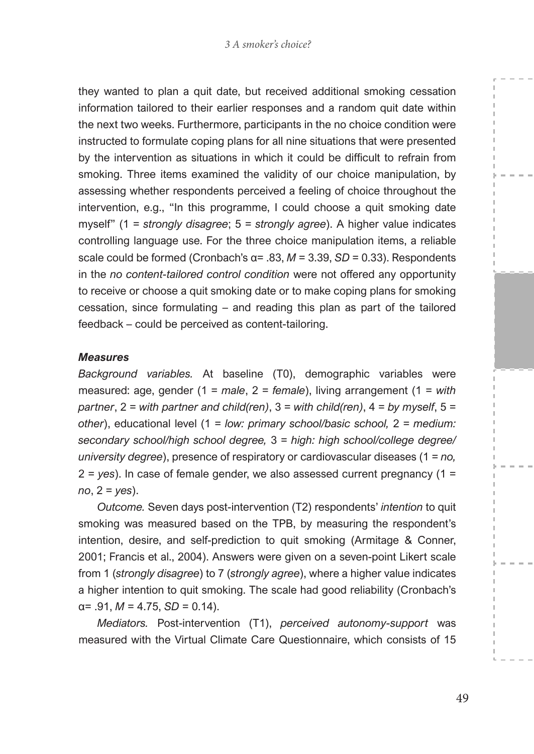they wanted to plan a quit date, but received additional smoking cessation information tailored to their earlier responses and a random quit date within the next two weeks. Furthermore, participants in the no choice condition were instructed to formulate coping plans for all nine situations that were presented by the intervention as situations in which it could be difficult to refrain from smoking. Three items examined the validity of our choice manipulation, by assessing whether respondents perceived a feeling of choice throughout the intervention, e.g., "In this programme, I could choose a quit smoking date myself" (1 = *strongly disagree*; 5 = *strongly agree*). A higher value indicates controlling language use. For the three choice manipulation items, a reliable scale could be formed (Cronbach's  $\alpha$ = .83,  $M$  = 3.39,  $SD$  = 0.33). Respondents in the *no content-tailored control condition* were not offered any opportunity to receive or choose a quit smoking date or to make coping plans for smoking cessation, since formulating – and reading this plan as part of the tailored feedback – could be perceived as content-tailoring.

#### *Measures*

*Background variables.* At baseline (T0), demographic variables were measured: age, gender (1 = *male*, 2 = *female*), living arrangement (1 = *with partner*, 2 = *with partner and child(ren)*, 3 = *with child(ren)*, 4 = *by myself*, 5 = *other*), educational level (1 = *low: primary school/basic school,* 2 = *medium: secondary school/high school degree,* 3 = *high: high school/college degree/ university degree*), presence of respiratory or cardiovascular diseases (1 = *no,* 2 = *yes*). In case of female gender, we also assessed current pregnancy (1 = *no*, 2 = *yes*).

*Outcome.* Seven days post-intervention (T2) respondents' *intention* to quit smoking was measured based on the TPB, by measuring the respondent's intention, desire, and self-prediction to quit smoking (Armitage & Conner, 2001; Francis et al., 2004). Answers were given on a seven-point Likert scale from 1 (*strongly disagree*) to 7 (*strongly agree*), where a higher value indicates a higher intention to quit smoking. The scale had good reliability (Cronbach's  $\alpha$ = .91, *M* = 4.75, *SD* = 0.14).

*Mediators.* Post-intervention (T1), *perceived autonomy-support* was measured with the Virtual Climate Care Questionnaire, which consists of 15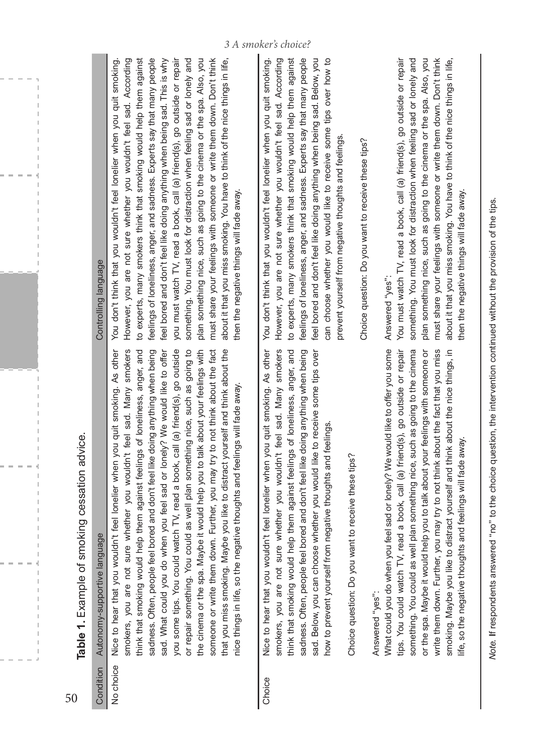|        | Table 1. Example of smoking cessation advice.                                                                                                                                                                                                                                                                                                                                                                                                                                                                                                                                                                                                                                                                                                                                                                                                                                                                                                                                                |                                                                                                                                                                                                                                                                                                                                                                                                                                                                                                                                                                                                                                                                   |
|--------|----------------------------------------------------------------------------------------------------------------------------------------------------------------------------------------------------------------------------------------------------------------------------------------------------------------------------------------------------------------------------------------------------------------------------------------------------------------------------------------------------------------------------------------------------------------------------------------------------------------------------------------------------------------------------------------------------------------------------------------------------------------------------------------------------------------------------------------------------------------------------------------------------------------------------------------------------------------------------------------------|-------------------------------------------------------------------------------------------------------------------------------------------------------------------------------------------------------------------------------------------------------------------------------------------------------------------------------------------------------------------------------------------------------------------------------------------------------------------------------------------------------------------------------------------------------------------------------------------------------------------------------------------------------------------|
|        | Condition Autonomy-supportive language                                                                                                                                                                                                                                                                                                                                                                                                                                                                                                                                                                                                                                                                                                                                                                                                                                                                                                                                                       | Controlling language                                                                                                                                                                                                                                                                                                                                                                                                                                                                                                                                                                                                                                              |
|        | No choice Nice to hear that you wouldn't feel lonelier when you quit smoking. As other You don't think that you wouldn't feel lonelier when you quit s<br>smokers, you are not sure whether you wouldn't feel sad. Many smokers<br>sadness. Often, people feel bored and don't feel like doing anything when being<br>sad. What could you do when you feel sad or lonely? We would like to offer<br>think that smoking would help them against feelings of loneliness, anger, and<br>you some tips. You could watch TV, read a book, call (a) friend(s), go outside<br>or repair something. You could as well plan something nice, such as going to<br>spa. Maybe it would help you to talk about your feelings with<br>that you miss smoking. Maybe you like to distract yourself and think about the<br>someone or write them down. Further, you may try to not think about the fact<br>so the negative thoughts and feelings will fade away.<br>the cinema or the<br>nice things in life, | However, you are not sure whether you wouldn't feel sad. Ac<br>to experts, many smokers think that smoking would help them<br>feelings of loneliness, anger, and sadness. Experts say that many<br>feel bored and don't feel like doing anything when being sad. Thi<br>you must watch TV, read a book, call (a) friend(s), go outside c<br>something. You must look for distraction when feeling sad or lor<br>plan something nice, such as going to the cinema or the spa. A<br>must share your feelings with someone or write them down. Do<br>about it that you miss smoking. You have to think of the nice thing<br>then the negative things will fade away. |
| Choice | Nice to hear that you wouldn't feel lonelier when you quit smoking. As other You don't think that you wouldn't feel lonelier when you quit s<br>smokers, you are not sure whether you wouldn't feel sad. Many smokers<br>think that smoking would help them against feelings of loneliness, anger, and<br>sadness. Often, people feel bored and don't feel like doing anything when being<br>sad. Below, you can choose whether you would like to receive some tips over<br>how to prevent yourself from negative thoughts and feelings.<br>Choice question: Do you want to receive these tips?                                                                                                                                                                                                                                                                                                                                                                                              | However, you are not sure whether you wouldn't feel sad. Ac<br>to experts, many smokers think that smoking would help them<br>feelings of loneliness, anger, and sadness. Experts say that many<br>feel bored and don't feel like doing anything when being sad. Be<br>can choose whether you would like to receive some tips over<br>prevent yourself from negative thoughts and feelings.                                                                                                                                                                                                                                                                       |

Answered "yes": Answered "yes":

What could you do when you feel sad or lonely? We would like to offer you some write them down. Further, you may try to not think about the fact that you miss What could you do when you feel sad or lonely? We would like to offer you some tips. You could watch TV, read a book, call (a) friend(s), go outside or repair tips. You could watch TV, read a book, call (a) friend(s), go outside or repair something. You could as well plan something nice, such as going to the cinema something. You could as well plan something nice, such as going to the cinema or the spa. Maybe it would help you to talk about your feelings with someone or or the spa. Maybe it would help you to talk about your feelings with someone or write them down. Further, you may try to not think about the fact that you miss smoking. Maybe you like to distract yourself and think about the nice things, in smoking. Maybe you like to distract yourself and think about the nice things, in ife, so the negative thoughts and feelings will fade away. life, so the negative thoughts and feelings will fade away.

moking. You don't think that you wouldn't feel lonelier when you quit smoking. cording However, you are not sure whether you wouldn't feel sad. According against to experts, many smokers think that smoking would help them against people feelings of loneliness, anger, and sadness. Experts say that many people s is why feel bored and don't feel like doing anything when being sad. This is why you must watch TV, read a book, call (a) friend(s), go outside or repair ely and something. You must look for distraction when feeling sad or lonely and plan something nice, such as going to the cinema or the spa. Also, you n't think must share your feelings with someone or write them down. Don't think about it that you miss smoking. You have to think of the nice things in life, r repair lso, you s in life.

moking. how to You don't think that you wouldn't feel lonelier when you quit smoking. cording However, you are not sure whether you wouldn't feel sad. According against to experts, many smokers think that smoking would help them against people feelings of loneliness, anger, and sadness. Experts say that many people feel bored and don't feel like doing anything when being sad. Below, you can choose whether you would like to receive some tips over how to ow, you

Choice question: Do you want to receive these tips? Choice question: Do you want to receive these tips?

Answered "yes": Answered "yes":

You must watch TV, read a book, call (a) friend(s), go outside or repair You must watch TV, read a book, call (a) friend(s), go outside or repair something. You must look for distraction when feeling sad or lonely and something. You must look for distraction when feeling sad or lonely and plan something nice, such as going to the cinema or the spa. Also, you plan something nice, such as going to the cinema or the spa. Also, you must share your feelings with someone or write them down. Don't think must share your feelings with someone or write them down. Don't think about it that you miss smoking. You have to think of the nice things in life, about it that you miss smoking. You have to think of the nice things in life, then the negative things will fade away. then the negative things will fade away.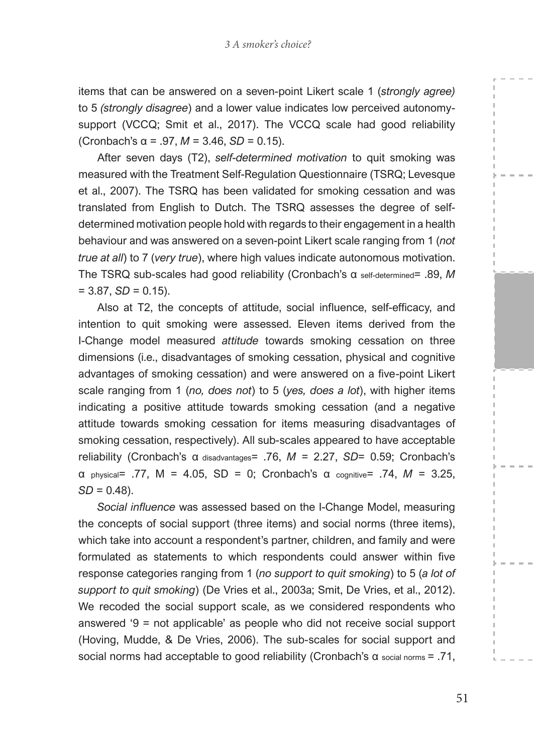items that can be answered on a seven-point Likert scale 1 (*strongly agree)*  to 5 *(strongly disagree*) and a lower value indicates low perceived autonomysupport (VCCQ; Smit et al., 2017). The VCCQ scale had good reliability (Cronbach's  $\alpha$  = .97,  $M$  = 3.46,  $SD$  = 0.15).

After seven days (T2), *self-determined motivation* to quit smoking was measured with the Treatment Self-Regulation Questionnaire (TSRQ; Levesque et al., 2007). The TSRQ has been validated for smoking cessation and was translated from English to Dutch. The TSRQ assesses the degree of selfdetermined motivation people hold with regards to their engagement in a health behaviour and was answered on a seven-point Likert scale ranging from 1 (*not true at all*) to 7 (*very true*), where high values indicate autonomous motivation. The TSRQ sub-scales had good reliability (Cronbach's α self-determined= .89, *M*   $= 3.87, SD = 0.15$ ).

Also at T2, the concepts of attitude, social influence, self-efficacy, and intention to quit smoking were assessed. Eleven items derived from the I-Change model measured *attitude* towards smoking cessation on three dimensions (i.e., disadvantages of smoking cessation, physical and cognitive advantages of smoking cessation) and were answered on a five-point Likert scale ranging from 1 (*no, does not*) to 5 (*yes, does a lot*), with higher items indicating a positive attitude towards smoking cessation (and a negative attitude towards smoking cessation for items measuring disadvantages of smoking cessation, respectively). All sub-scales appeared to have acceptable reliability (Cronbach's α disadvantages= .76, *M* = 2.27, *SD*= 0.59; Cronbach's α physical= .77, M = 4.05, SD = 0; Cronbach's α cognitive= .74, *M* = 3.25,  $SD = 0.48$ ).

*Social influence* was assessed based on the I-Change Model, measuring the concepts of social support (three items) and social norms (three items), which take into account a respondent's partner, children, and family and were formulated as statements to which respondents could answer within five response categories ranging from 1 (*no support to quit smoking*) to 5 (*a lot of support to quit smoking*) (De Vries et al., 2003a; Smit, De Vries, et al., 2012). We recoded the social support scale, as we considered respondents who answered '9 = not applicable' as people who did not receive social support (Hoving, Mudde, & De Vries, 2006). The sub-scales for social support and social norms had acceptable to good reliability (Cronbach's α social norms = .71,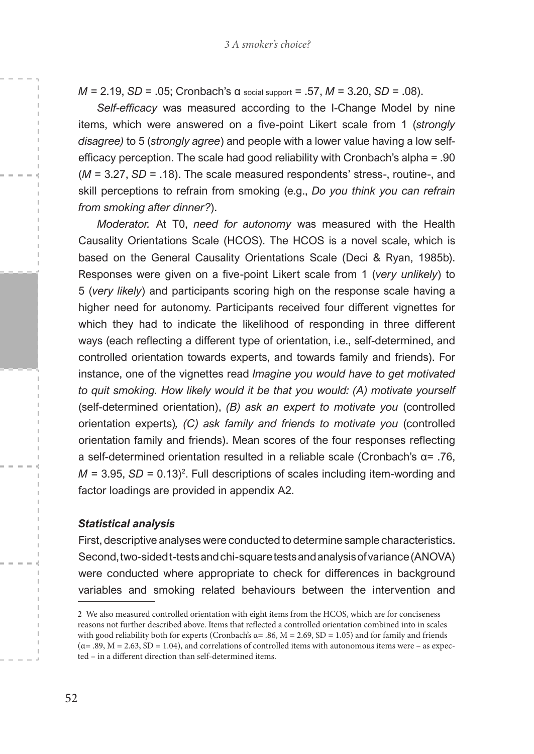*M* = 2.19, *SD* = .05; Cronbach's α social support = .57, *M* = 3.20, *SD* = .08).

*Self-efficacy* was measured according to the I-Change Model by nine items, which were answered on a five-point Likert scale from 1 (*strongly disagree)* to 5 (*strongly agree*) and people with a lower value having a low selfefficacy perception. The scale had good reliability with Cronbach's alpha = .90 (*M* = 3.27, *SD* = .18). The scale measured respondents' stress-, routine-, and skill perceptions to refrain from smoking (e.g., *Do you think you can refrain from smoking after dinner?*).

*Moderator.* At T0, *need for autonomy* was measured with the Health Causality Orientations Scale (HCOS). The HCOS is a novel scale, which is based on the General Causality Orientations Scale (Deci & Ryan, 1985b). Responses were given on a five-point Likert scale from 1 (*very unlikely*) to 5 (*very likely*) and participants scoring high on the response scale having a higher need for autonomy. Participants received four different vignettes for which they had to indicate the likelihood of responding in three different ways (each reflecting a different type of orientation, i.e., self-determined, and controlled orientation towards experts, and towards family and friends). For instance, one of the vignettes read *Imagine you would have to get motivated*  to quit smoking. How likely would it be that you would: (A) motivate yourself (self-determined orientation), *(B) ask an expert to motivate you* (controlled orientation experts)*, (C) ask family and friends to motivate you* (controlled orientation family and friends). Mean scores of the four responses reflecting a self-determined orientation resulted in a reliable scale (Cronbach's α= .76,  $M = 3.95$ ,  $SD = 0.13$ <sup>2</sup>. Full descriptions of scales including item-wording and factor loadings are provided in appendix A2.

#### *Statistical analysis*

First, descriptive analyses were conducted to determine sample characteristics. Second, two-sided t-tests and chi-square tests and analysis of variance (ANOVA) were conducted where appropriate to check for differences in background variables and smoking related behaviours between the intervention and

<sup>2</sup> We also measured controlled orientation with eight items from the HCOS, which are for conciseness reasons not further described above. Items that reflected a controlled orientation combined into in scales with good reliability both for experts (Cronbach's  $\alpha$  = .86,  $M$  = 2.69, SD = 1.05) and for family and friends  $(\alpha = .89, M = 2.63, SD = 1.04)$ , and correlations of controlled items with autonomous items were – as expected – in a different direction than self-determined items.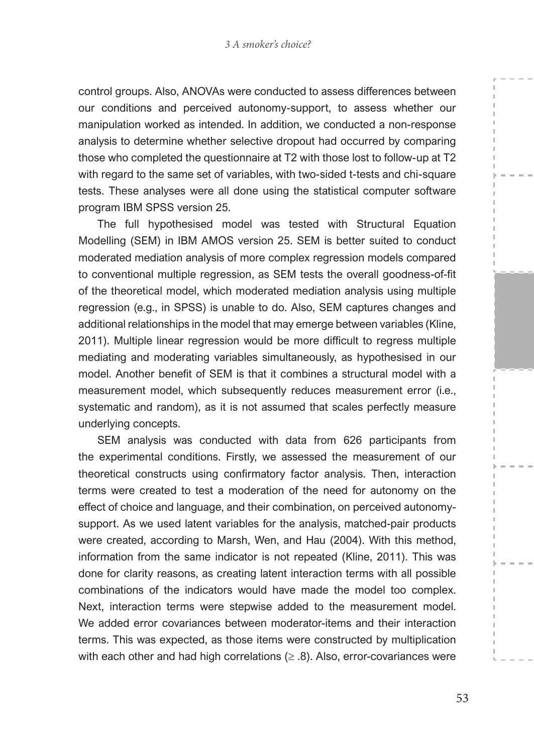control groups. Also, ANOVAs were conducted to assess differences between our conditions and perceived autonomy-support, to assess whether our manipulation worked as intended. In addition, we conducted a non-response analysis to determine whether selective dropout had occurred by comparing those who completed the questionnaire at T2 with those lost to follow-up at T2 with regard to the same set of variables, with two-sided t-tests and chi-square tests. These analyses were all done using the statistical computer software program IBM SPSS version 25.

The full hypothesised model was tested with Structural Equation Modelling (SEM) in IBM AMOS version 25. SEM is better suited to conduct moderated mediation analysis of more complex regression models compared to conventional multiple regression, as SEM tests the overall goodness-of-fit of the theoretical model, which moderated mediation analysis using multiple regression (e.g., in SPSS) is unable to do. Also, SEM captures changes and additional relationships in the model that may emerge between variables (Kline, 2011). Multiple linear regression would be more difficult to regress multiple mediating and moderating variables simultaneously, as hypothesised in our model. Another benefit of SEM is that it combines a structural model with a measurement model, which subsequently reduces measurement error (i.e., systematic and random), as it is not assumed that scales perfectly measure underlying concepts.

SEM analysis was conducted with data from 626 participants from the experimental conditions. Firstly, we assessed the measurement of our theoretical constructs using confirmatory factor analysis. Then, interaction terms were created to test a moderation of the need for autonomy on the effect of choice and language, and their combination, on perceived autonomysupport. As we used latent variables for the analysis, matched-pair products were created, according to Marsh, Wen, and Hau (2004). With this method, information from the same indicator is not repeated (Kline, 2011). This was done for clarity reasons, as creating latent interaction terms with all possible combinations of the indicators would have made the model too complex. Next, interaction terms were stepwise added to the measurement model. We added error covariances between moderator-items and their interaction terms. This was expected, as those items were constructed by multiplication with each other and had high correlations  $(\geq .8)$ . Also, error-covariances were

53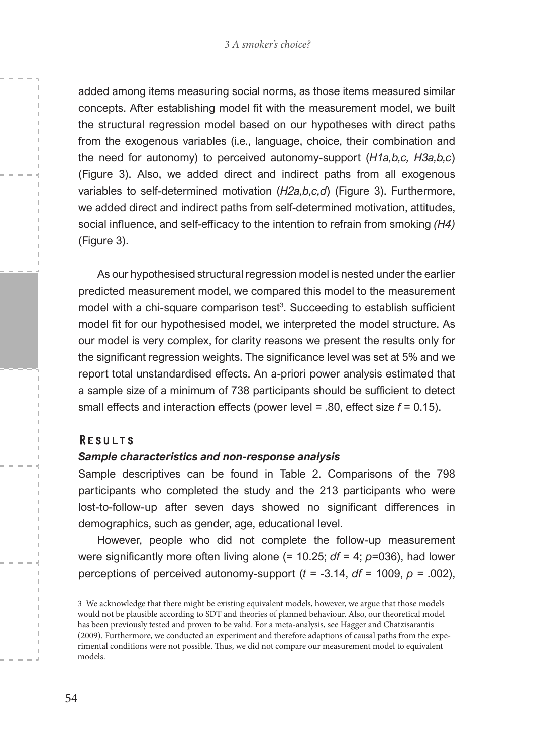added among items measuring social norms, as those items measured similar concepts. After establishing model fit with the measurement model, we built the structural regression model based on our hypotheses with direct paths from the exogenous variables (i.e., language, choice, their combination and the need for autonomy) to perceived autonomy-support (*H1a,b,c, H3a,b,c*) (Figure 3). Also, we added direct and indirect paths from all exogenous variables to self-determined motivation (*H2a,b,c,d*) (Figure 3). Furthermore, we added direct and indirect paths from self-determined motivation, attitudes, social influence, and self-efficacy to the intention to refrain from smoking *(H4)*  (Figure 3).

As our hypothesised structural regression model is nested under the earlier predicted measurement model, we compared this model to the measurement model with a chi-square comparison test<sup>3</sup>. Succeeding to establish sufficient model fit for our hypothesised model, we interpreted the model structure. As our model is very complex, for clarity reasons we present the results only for the significant regression weights. The significance level was set at 5% and we report total unstandardised effects. An a-priori power analysis estimated that a sample size of a minimum of 738 participants should be sufficient to detect small effects and interaction effects (power level = .80, effect size *f* = 0.15).

#### **RESULTS**

#### *Sample characteristics and non-response analysis*

Sample descriptives can be found in Table 2. Comparisons of the 798 participants who completed the study and the 213 participants who were lost-to-follow-up after seven days showed no significant differences in demographics, such as gender, age, educational level.

However, people who did not complete the follow-up measurement were significantly more often living alone (= 10.25; *df* = 4; *p*=036), had lower perceptions of perceived autonomy-support (*t* = -3.14, *df* = 1009, *p* = .002),

<sup>3</sup> We acknowledge that there might be existing equivalent models, however, we argue that those models would not be plausible according to SDT and theories of planned behaviour. Also, our theoretical model has been previously tested and proven to be valid. For a meta-analysis, see Hagger and Chatzisarantis (2009). Furthermore, we conducted an experiment and therefore adaptions of causal paths from the experimental conditions were not possible. Thus, we did not compare our measurement model to equivalent models.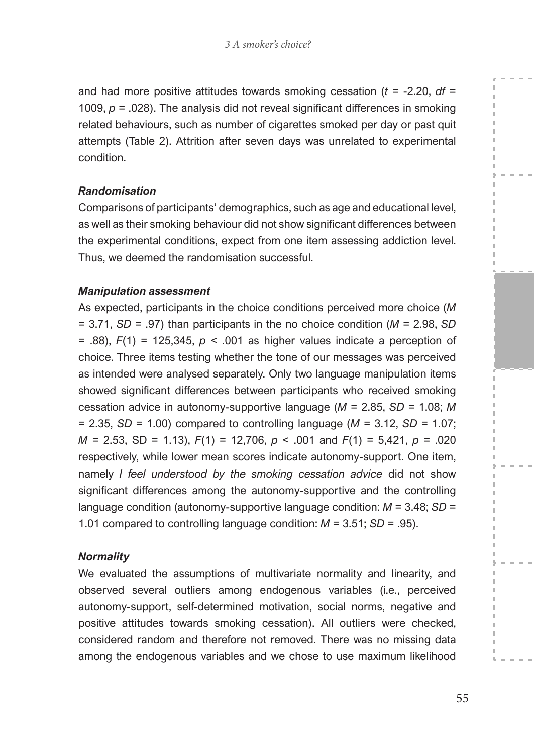and had more positive attitudes towards smoking cessation (*t* = -2.20, *df* = 1009,  $p = 0.028$ ). The analysis did not reveal significant differences in smoking related behaviours, such as number of cigarettes smoked per day or past quit attempts (Table 2). Attrition after seven days was unrelated to experimental condition.

#### *Randomisation*

Comparisons of participants' demographics, such as age and educational level, as well as their smoking behaviour did not show significant differences between the experimental conditions, expect from one item assessing addiction level. Thus, we deemed the randomisation successful.

#### *Manipulation assessment*

As expected, participants in the choice conditions perceived more choice (*M*  = 3.71, *SD* = .97) than participants in the no choice condition (*M* = 2.98, *SD* = .88), *F*(1) = 125,345, *p* < .001 as higher values indicate a perception of choice. Three items testing whether the tone of our messages was perceived as intended were analysed separately. Only two language manipulation items showed significant differences between participants who received smoking cessation advice in autonomy-supportive language (*M* = 2.85, *SD* = 1.08; *M*  $= 2.35$ , *SD* = 1.00) compared to controlling language (*M* = 3.12, *SD* = 1.07; *M* = 2.53, SD = 1.13), *F*(1) = 12,706, *p* < .001 and *F*(1) = 5,421, *p* = .020 respectively, while lower mean scores indicate autonomy-support. One item, namely *I feel understood by the smoking cessation advice* did not show significant differences among the autonomy-supportive and the controlling language condition (autonomy-supportive language condition: *M* = 3.48; *SD* = 1.01 compared to controlling language condition: *M* = 3.51; *SD* = .95).

#### *Normality*

We evaluated the assumptions of multivariate normality and linearity, and observed several outliers among endogenous variables (i.e., perceived autonomy-support, self-determined motivation, social norms, negative and positive attitudes towards smoking cessation). All outliers were checked, considered random and therefore not removed. There was no missing data among the endogenous variables and we chose to use maximum likelihood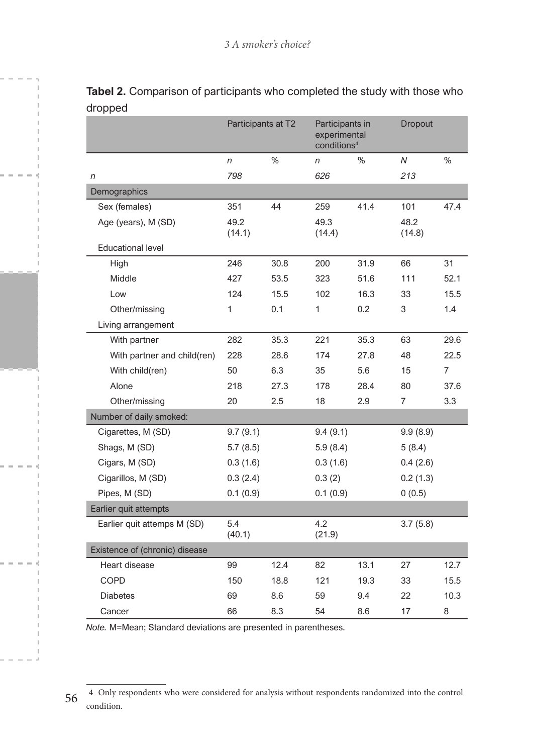|                                | Participants at T2 |      | Participants in<br>experimental<br>conditions <sup>4</sup> |      | Dropout        |                |
|--------------------------------|--------------------|------|------------------------------------------------------------|------|----------------|----------------|
|                                | n                  | $\%$ | n                                                          | %    | N              | $\%$           |
| n                              | 798                |      | 626                                                        |      | 213            |                |
| Demographics                   |                    |      |                                                            |      |                |                |
| Sex (females)                  | 351                | 44   | 259                                                        | 41.4 | 101            | 47.4           |
| Age (years), M (SD)            | 49.2<br>(14.1)     |      | 49.3<br>(14.4)                                             |      | 48.2<br>(14.8) |                |
| <b>Educational level</b>       |                    |      |                                                            |      |                |                |
| High                           | 246                | 30.8 | 200                                                        | 31.9 | 66             | 31             |
| Middle                         | 427                | 53.5 | 323                                                        | 51.6 | 111            | 52.1           |
| Low                            | 124                | 15.5 | 102                                                        | 16.3 | 33             | 15.5           |
| Other/missing                  | 1                  | 0.1  | 1                                                          | 0.2  | 3              | 1.4            |
| Living arrangement             |                    |      |                                                            |      |                |                |
| With partner                   | 282                | 35.3 | 221                                                        | 35.3 | 63             | 29.6           |
| With partner and child(ren)    | 228                | 28.6 | 174                                                        | 27.8 | 48             | 22.5           |
| With child(ren)                | 50                 | 6.3  | 35                                                         | 5.6  | 15             | $\overline{7}$ |
| Alone                          | 218                | 27.3 | 178                                                        | 28.4 | 80             | 37.6           |
| Other/missing                  | 20                 | 2.5  | 18                                                         | 2.9  | $\overline{7}$ | 3.3            |
| Number of daily smoked:        |                    |      |                                                            |      |                |                |
| Cigarettes, M (SD)             | 9.7(9.1)           |      | 9.4(9.1)                                                   |      | 9.9(8.9)       |                |
| Shags, M (SD)                  | 5.7(8.5)           |      | 5.9(8.4)                                                   |      | 5(8.4)         |                |
| Cigars, M (SD)                 | 0.3(1.6)           |      | 0.3(1.6)                                                   |      | 0.4(2.6)       |                |
| Cigarillos, M (SD)             | 0.3(2.4)           |      | 0.3(2)                                                     |      | 0.2(1.3)       |                |
| Pipes, M (SD)                  | 0.1(0.9)           |      | 0.1(0.9)                                                   |      | 0(0.5)         |                |
| Earlier quit attempts          |                    |      |                                                            |      |                |                |
| Earlier quit attemps M (SD)    | 5.4<br>(40.1)      |      | 4.2<br>(21.9)                                              |      | 3.7(5.8)       |                |
| Existence of (chronic) disease |                    |      |                                                            |      |                |                |
| Heart disease                  | 99                 | 12.4 | 82                                                         | 13.1 | 27             | 12.7           |
| <b>COPD</b>                    | 150                | 18.8 | 121                                                        | 19.3 | 33             | 15.5           |
| <b>Diabetes</b>                | 69                 | 8.6  | 59                                                         | 9.4  | 22             | 10.3           |
| Cancer                         | 66                 | 8.3  | 54                                                         | 8.6  | 17             | 8              |

**Tabel 2.** Comparison of participants who completed the study with those who dropped

*Note.* M=Mean; Standard deviations are presented in parentheses.

<sup>56</sup> 4 Only respondents who were considered for analysis without respondents randomized into the control condition.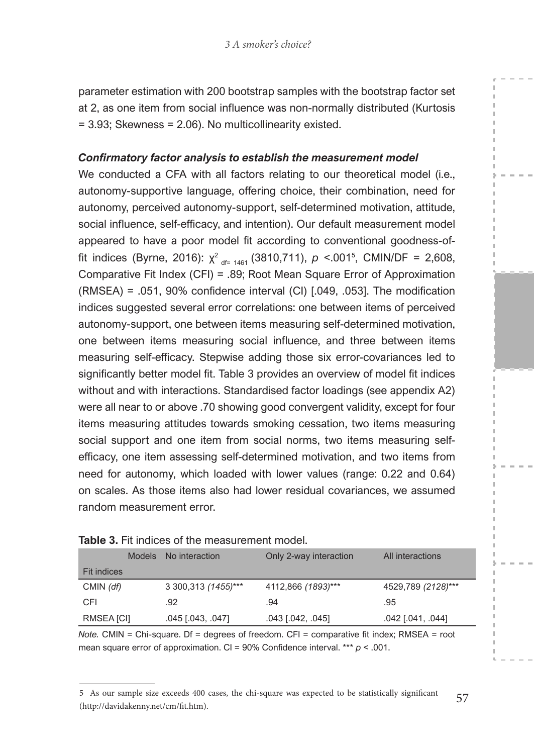parameter estimation with 200 bootstrap samples with the bootstrap factor set at 2, as one item from social influence was non-normally distributed (Kurtosis = 3.93; Skewness = 2.06). No multicollinearity existed.

#### *Confirmatory factor analysis to establish the measurement model*

We conducted a CFA with all factors relating to our theoretical model (i.e., autonomy-supportive language, offering choice, their combination, need for autonomy, perceived autonomy-support, self-determined motivation, attitude, social influence, self-efficacy, and intention). Our default measurement model appeared to have a poor model fit according to conventional goodness-offit indices (Byrne, 2016):  $\chi^2$ <sub>df= 1461</sub> (3810,711),  $p$  <.001<sup>5</sup>, CMIN/DF = 2,608, Comparative Fit Index (CFI) = .89; Root Mean Square Error of Approximation (RMSEA) = .051, 90% confidence interval (CI) [.049, .053]. The modification indices suggested several error correlations: one between items of perceived autonomy-support, one between items measuring self-determined motivation, one between items measuring social influence, and three between items measuring self-efficacy. Stepwise adding those six error-covariances led to significantly better model fit. Table 3 provides an overview of model fit indices without and with interactions. Standardised factor loadings (see appendix A2) were all near to or above .70 showing good convergent validity, except for four items measuring attitudes towards smoking cessation, two items measuring social support and one item from social norms, two items measuring selfefficacy, one item assessing self-determined motivation, and two items from need for autonomy, which loaded with lower values (range: 0.22 and 0.64) on scales. As those items also had lower residual covariances, we assumed random measurement error.

|                    | <b>Models</b> | No interaction       | Only 2-way interaction | All interactions   |
|--------------------|---------------|----------------------|------------------------|--------------------|
| <b>Fit indices</b> |               |                      |                        |                    |
| CMIN $(df)$        |               | 3 300, 313 (1455)*** | 4112,866 (1893)***     | 4529,789 (2128)*** |
| CFI                |               | .92                  | .94                    | .95                |
| RMSEA [CI]         |               | $.045$ [.043, .047]  | $.043$ [.042, .045]    | $.042$ [ 041, 044] |

#### **Table 3.** Fit indices of the measurement model

*Note.* CMIN = Chi-square. Df = degrees of freedom. CFI = comparative fit index; RMSEA = root mean square error of approximation. CI = 90% Confidence interval. \*\*\* *p* < .001.

<sup>57</sup> 5 As our sample size exceeds 400 cases, the chi-square was expected to be statistically significant (http://davidakenny.net/cm/fit.htm).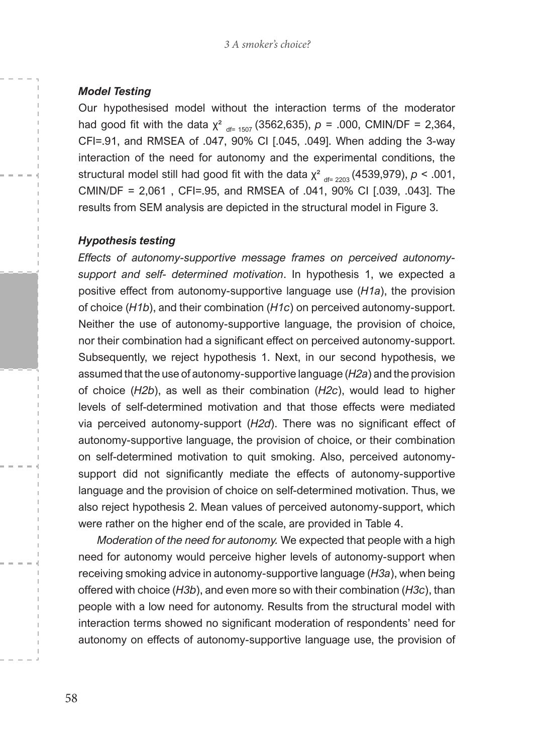#### *Model Testing*

Our hypothesised model without the interaction terms of the moderator had good fit with the data  $\chi^2$  df= 1507 (3562,635),  $p = .000$ , CMIN/DF = 2,364, CFI=.91, and RMSEA of .047, 90% CI [.045, .049]. When adding the 3-way interaction of the need for autonomy and the experimental conditions, the structural model still had good fit with the data  $\chi^2$  df= 2203 (4539,979),  $p < .001$ , CMIN/DF = 2,061 , CFI=.95, and RMSEA of .041, 90% CI [.039, .043]. The results from SEM analysis are depicted in the structural model in Figure 3.

#### *Hypothesis testing*

*Effects of autonomy-supportive message frames on perceived autonomysupport and self- determined motivation*. In hypothesis 1, we expected a positive effect from autonomy-supportive language use (*H1a*), the provision of choice (*H1b*), and their combination (*H1c*) on perceived autonomy-support. Neither the use of autonomy-supportive language, the provision of choice, nor their combination had a significant effect on perceived autonomy-support. Subsequently, we reject hypothesis 1. Next, in our second hypothesis, we assumed that the use of autonomy-supportive language (*H2a*) and the provision of choice (*H2b*), as well as their combination (*H2c*), would lead to higher levels of self-determined motivation and that those effects were mediated via perceived autonomy-support (*H2d*). There was no significant effect of autonomy-supportive language, the provision of choice, or their combination on self-determined motivation to quit smoking. Also, perceived autonomysupport did not significantly mediate the effects of autonomy-supportive language and the provision of choice on self-determined motivation. Thus, we also reject hypothesis 2. Mean values of perceived autonomy-support, which were rather on the higher end of the scale, are provided in Table 4.

*Moderation of the need for autonomy.* We expected that people with a high need for autonomy would perceive higher levels of autonomy-support when receiving smoking advice in autonomy-supportive language (*H3a*), when being offered with choice (*H3b*), and even more so with their combination (*H3c*), than people with a low need for autonomy. Results from the structural model with interaction terms showed no significant moderation of respondents' need for autonomy on effects of autonomy-supportive language use, the provision of

58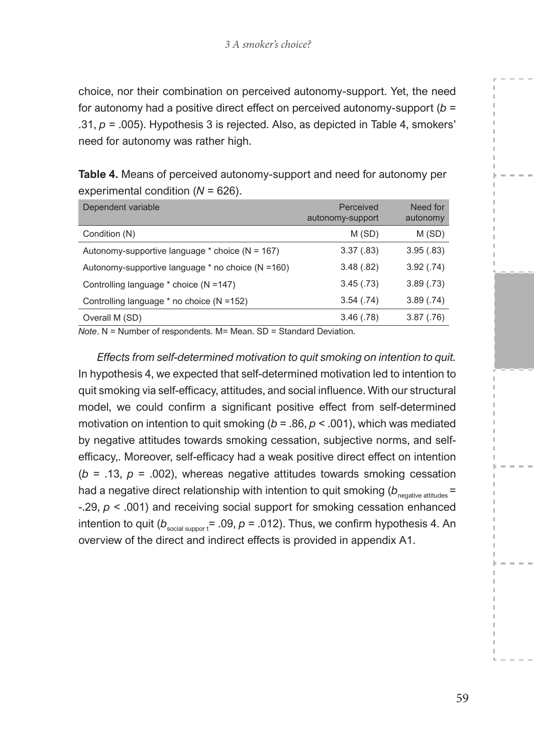choice, nor their combination on perceived autonomy-support. Yet, the need for autonomy had a positive direct effect on perceived autonomy-support (*b* = .31, *p* = .005). Hypothesis 3 is rejected. Also, as depicted in Table 4, smokers' need for autonomy was rather high.

| Table 4. Means of perceived autonomy-support and need for autonomy per |
|------------------------------------------------------------------------|
| experimental condition ( $N = 626$ ).                                  |

| Dependent variable                                | Perceived<br>autonomy-support | Need for<br>autonomy |
|---------------------------------------------------|-------------------------------|----------------------|
| Condition (N)                                     | M(SD)                         | M(SD)                |
| Autonomy-supportive language $*$ choice (N = 167) | 3.37(.83)                     | 3.95(.83)            |
| Autonomy-supportive language * no choice (N =160) | 3.48(.82)                     | 3.92(.74)            |
| Controlling language * choice (N = 147)           | 3.45(.73)                     | 3.89(.73)            |
| Controlling language $*$ no choice (N = 152)      | 3.54(.74)                     | 3.89(.74)            |
| Overall M (SD)                                    | 3.46(.78)                     | 3.87(.76)            |

*Note*. N = Number of respondents. M= Mean. SD = Standard Deviation.

*Effects from self-determined motivation to quit smoking on intention to quit.*  In hypothesis 4, we expected that self-determined motivation led to intention to quit smoking via self-efficacy, attitudes, and social influence. With our structural model, we could confirm a significant positive effect from self-determined motivation on intention to quit smoking (*b* = .86, *p* < .001), which was mediated by negative attitudes towards smoking cessation, subjective norms, and selfefficacy,. Moreover, self-efficacy had a weak positive direct effect on intention ( $b = .13$ ,  $p = .002$ ), whereas negative attitudes towards smoking cessation had a negative direct relationship with intention to quit smoking  $(b_{\text{negative attributes}} =$ -.29, *p* < .001) and receiving social support for smoking cessation enhanced intention to quit ( $b_{\text{social support}}$ = .09,  $p$  = .012). Thus, we confirm hypothesis 4. An overview of the direct and indirect effects is provided in appendix A1.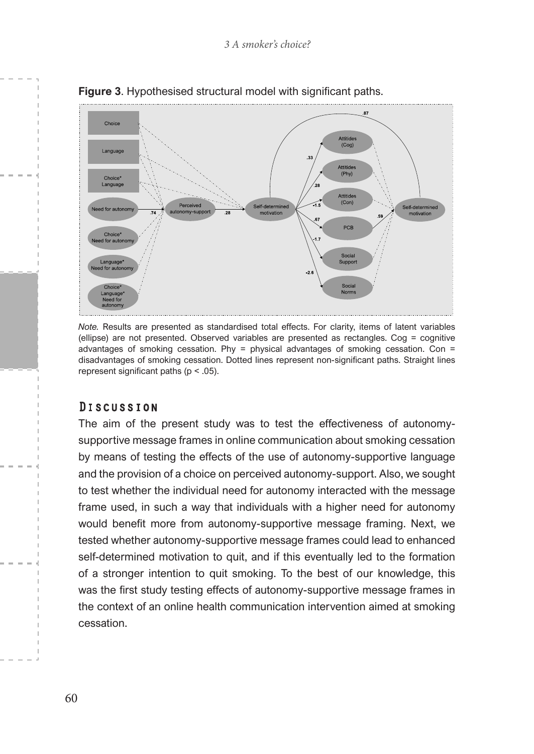

**Figure 3**. Hypothesised structural model with significant paths.

*Note.* Results are presented as standardised total effects. For clarity, items of latent variables (ellipse) are not presented. Observed variables are presented as rectangles. Cog = cognitive advantages of smoking cessation. Phy = physical advantages of smoking cessation. Con = disadvantages of smoking cessation. Dotted lines represent non-significant paths. Straight lines represent significant paths (p < .05).

#### **Discussion**

The aim of the present study was to test the effectiveness of autonomysupportive message frames in online communication about smoking cessation by means of testing the effects of the use of autonomy-supportive language and the provision of a choice on perceived autonomy-support. Also, we sought to test whether the individual need for autonomy interacted with the message frame used, in such a way that individuals with a higher need for autonomy would benefit more from autonomy-supportive message framing. Next, we tested whether autonomy-supportive message frames could lead to enhanced self-determined motivation to quit, and if this eventually led to the formation of a stronger intention to quit smoking. To the best of our knowledge, this was the first study testing effects of autonomy-supportive message frames in the context of an online health communication intervention aimed at smoking cessation.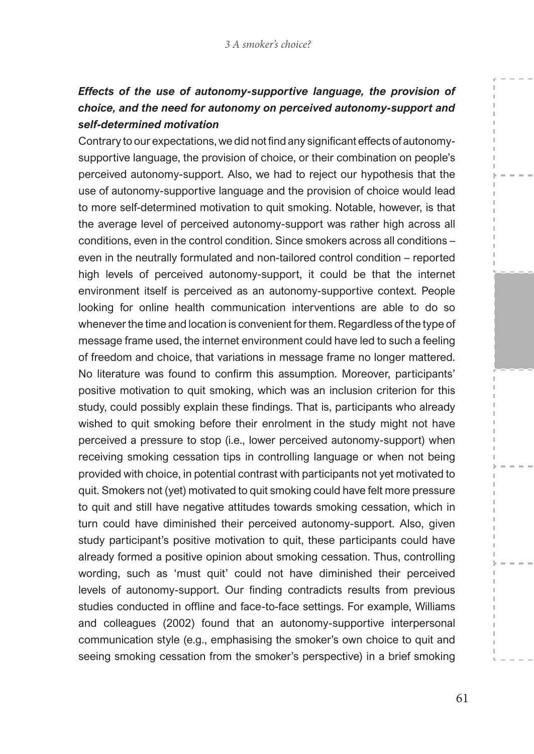## *Effects of the use of autonomy-supportive language, the provision of choice, and the need for autonomy on perceived autonomy-support and self-determined motivation*

Contrary to our expectations, we did not find any significant effects of autonomysupportive language, the provision of choice, or their combination on people's perceived autonomy-support. Also, we had to reject our hypothesis that the use of autonomy-supportive language and the provision of choice would lead to more self-determined motivation to quit smoking. Notable, however, is that the average level of perceived autonomy-support was rather high across all conditions, even in the control condition. Since smokers across all conditions – even in the neutrally formulated and non-tailored control condition – reported high levels of perceived autonomy-support, it could be that the internet environment itself is perceived as an autonomy-supportive context. People looking for online health communication interventions are able to do so whenever the time and location is convenient for them. Regardless of the type of message frame used, the internet environment could have led to such a feeling of freedom and choice, that variations in message frame no longer mattered. No literature was found to confirm this assumption. Moreover, participants' positive motivation to quit smoking, which was an inclusion criterion for this study, could possibly explain these findings. That is, participants who already wished to quit smoking before their enrolment in the study might not have perceived a pressure to stop (i.e., lower perceived autonomy-support) when receiving smoking cessation tips in controlling language or when not being provided with choice, in potential contrast with participants not yet motivated to quit. Smokers not (yet) motivated to quit smoking could have felt more pressure to quit and still have negative attitudes towards smoking cessation, which in turn could have diminished their perceived autonomy-support. Also, given study participant's positive motivation to quit, these participants could have already formed a positive opinion about smoking cessation. Thus, controlling wording, such as 'must quit' could not have diminished their perceived levels of autonomy-support. Our finding contradicts results from previous studies conducted in offline and face-to-face settings. For example, Williams and colleagues (2002) found that an autonomy-supportive interpersonal communication style (e.g., emphasising the smoker's own choice to quit and seeing smoking cessation from the smoker's perspective) in a brief smoking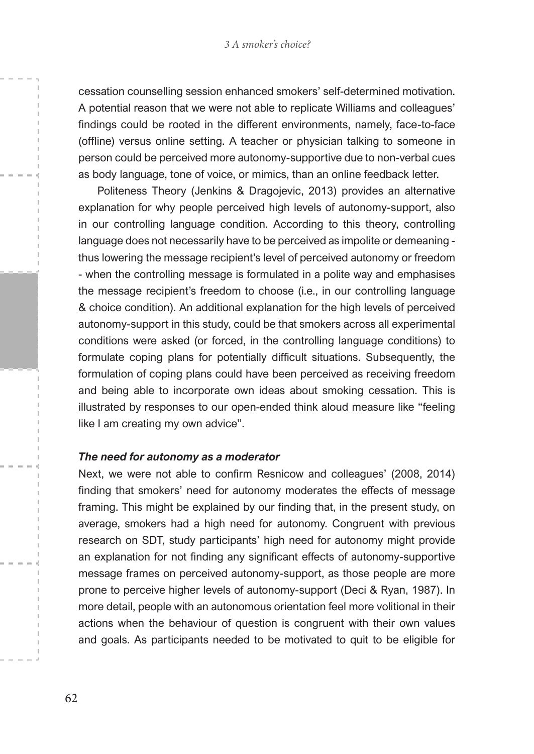cessation counselling session enhanced smokers' self-determined motivation. A potential reason that we were not able to replicate Williams and colleagues' findings could be rooted in the different environments, namely, face-to-face (offline) versus online setting. A teacher or physician talking to someone in person could be perceived more autonomy-supportive due to non-verbal cues as body language, tone of voice, or mimics, than an online feedback letter.

Politeness Theory (Jenkins & Dragojevic, 2013) provides an alternative explanation for why people perceived high levels of autonomy-support, also in our controlling language condition. According to this theory, controlling language does not necessarily have to be perceived as impolite or demeaning thus lowering the message recipient's level of perceived autonomy or freedom - when the controlling message is formulated in a polite way and emphasises the message recipient's freedom to choose (i.e., in our controlling language & choice condition). An additional explanation for the high levels of perceived autonomy-support in this study, could be that smokers across all experimental conditions were asked (or forced, in the controlling language conditions) to formulate coping plans for potentially difficult situations. Subsequently, the formulation of coping plans could have been perceived as receiving freedom and being able to incorporate own ideas about smoking cessation. This is illustrated by responses to our open-ended think aloud measure like "feeling like I am creating my own advice".

#### *The need for autonomy as a moderator*

Next, we were not able to confirm Resnicow and colleagues' (2008, 2014) finding that smokers' need for autonomy moderates the effects of message framing. This might be explained by our finding that, in the present study, on average, smokers had a high need for autonomy. Congruent with previous research on SDT, study participants' high need for autonomy might provide an explanation for not finding any significant effects of autonomy-supportive message frames on perceived autonomy-support, as those people are more prone to perceive higher levels of autonomy-support (Deci & Ryan, 1987). In more detail, people with an autonomous orientation feel more volitional in their actions when the behaviour of question is congruent with their own values and goals. As participants needed to be motivated to quit to be eligible for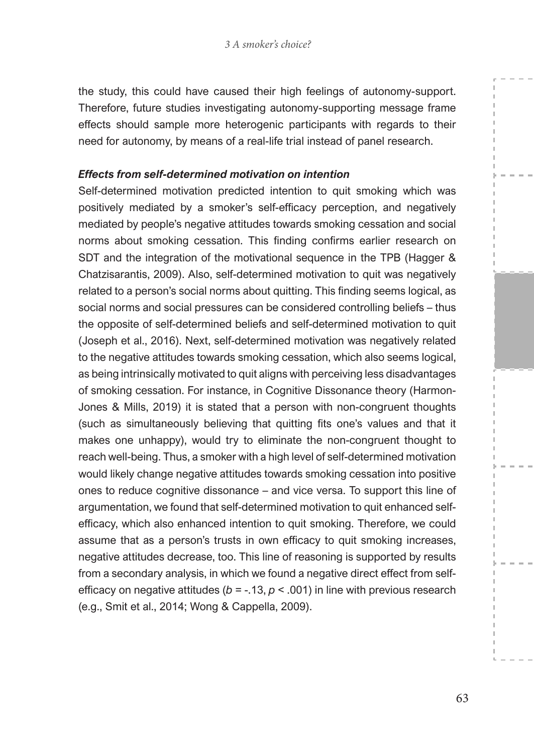the study, this could have caused their high feelings of autonomy-support. Therefore, future studies investigating autonomy-supporting message frame effects should sample more heterogenic participants with regards to their need for autonomy, by means of a real-life trial instead of panel research.

#### *Effects from self-determined motivation on intention*

Self-determined motivation predicted intention to quit smoking which was positively mediated by a smoker's self-efficacy perception, and negatively mediated by people's negative attitudes towards smoking cessation and social norms about smoking cessation. This finding confirms earlier research on SDT and the integration of the motivational sequence in the TPB (Hagger & Chatzisarantis, 2009). Also, self-determined motivation to quit was negatively related to a person's social norms about quitting. This finding seems logical, as social norms and social pressures can be considered controlling beliefs – thus the opposite of self-determined beliefs and self-determined motivation to quit (Joseph et al., 2016). Next, self-determined motivation was negatively related to the negative attitudes towards smoking cessation, which also seems logical, as being intrinsically motivated to quit aligns with perceiving less disadvantages of smoking cessation. For instance, in Cognitive Dissonance theory (Harmon-Jones & Mills, 2019) it is stated that a person with non-congruent thoughts (such as simultaneously believing that quitting fits one's values and that it makes one unhappy), would try to eliminate the non-congruent thought to reach well-being. Thus, a smoker with a high level of self-determined motivation would likely change negative attitudes towards smoking cessation into positive ones to reduce cognitive dissonance – and vice versa. To support this line of argumentation, we found that self-determined motivation to quit enhanced selfefficacy, which also enhanced intention to quit smoking. Therefore, we could assume that as a person's trusts in own efficacy to quit smoking increases, negative attitudes decrease, too. This line of reasoning is supported by results from a secondary analysis, in which we found a negative direct effect from selfefficacy on negative attitudes ( $b = -13$ ,  $p < 0.001$ ) in line with previous research (e.g., Smit et al., 2014; Wong & Cappella, 2009).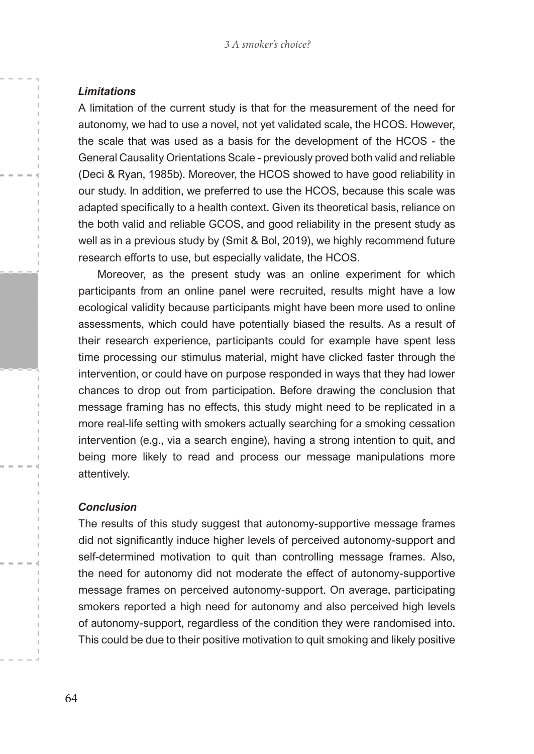#### *Limitations*

A limitation of the current study is that for the measurement of the need for autonomy, we had to use a novel, not yet validated scale, the HCOS. However, the scale that was used as a basis for the development of the HCOS - the General Causality Orientations Scale - previously proved both valid and reliable (Deci & Ryan, 1985b). Moreover, the HCOS showed to have good reliability in our study. In addition, we preferred to use the HCOS, because this scale was adapted specifically to a health context. Given its theoretical basis, reliance on the both valid and reliable GCOS, and good reliability in the present study as well as in a previous study by (Smit & Bol, 2019), we highly recommend future research efforts to use, but especially validate, the HCOS.

Moreover, as the present study was an online experiment for which participants from an online panel were recruited, results might have a low ecological validity because participants might have been more used to online assessments, which could have potentially biased the results. As a result of their research experience, participants could for example have spent less time processing our stimulus material, might have clicked faster through the intervention, or could have on purpose responded in ways that they had lower chances to drop out from participation. Before drawing the conclusion that message framing has no effects, this study might need to be replicated in a more real-life setting with smokers actually searching for a smoking cessation intervention (e.g., via a search engine), having a strong intention to quit, and being more likely to read and process our message manipulations more attentively.

#### *Conclusion*

The results of this study suggest that autonomy-supportive message frames did not significantly induce higher levels of perceived autonomy-support and self-determined motivation to quit than controlling message frames. Also, the need for autonomy did not moderate the effect of autonomy-supportive message frames on perceived autonomy-support. On average, participating smokers reported a high need for autonomy and also perceived high levels of autonomy-support, regardless of the condition they were randomised into. This could be due to their positive motivation to quit smoking and likely positive